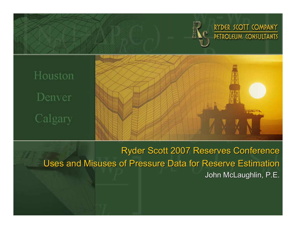

Calgary

Ryder Scott 2007 Reserves Conference Uses and Misuses of Pressure Data for Reserve Estimation John McLaughlin, P.E.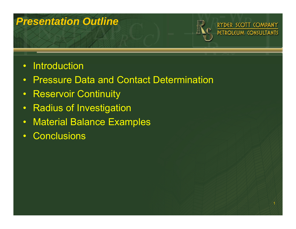#### *Presentation Outline*

#### $\bullet$ **Introduction**

- •Pressure Data and Contact Determination
- $\bullet$ Reservoir Continuity
- •Radius of Investigation
- •Material Balance Examples
- $\bullet$ **Conclusions**

RYDER SCOTT COMPANY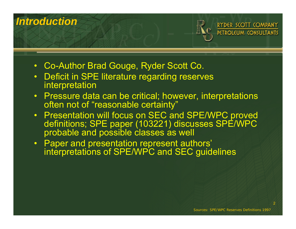## *Introduction*RYDER SCOTT COMPANY **PETROLEUM CONSULTANTS**

- Co-Author Brad Gouge, Ryder Scott Co.
- Deficit in SPE literature regarding reserves interpretation
- Pressure data can be critical; however, interpretations often not of "reasonable certainty"
- Presentation will focus on SEC and SPE/WPC proved definitions; SPE paper (103221) discusses SPE/WPC probable and possible classes as well
- Paper and presentation represent authors' interpretations of SPE/WPC and SEC guidelines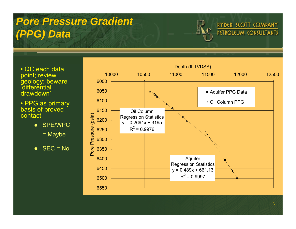# *Pore Pressure Gradient (PPG) Data*

- QC each data point; review geology; beware 'differential drawdown'
- PPG as primary basis of proved contact
	- **SPE/WPC** 
		- = Maybe
	- $\bullet$  SEC = No



RYDER SCOTT COMPANY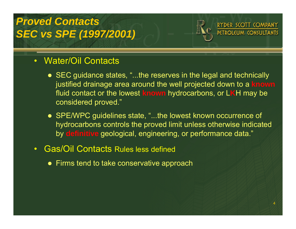## *Proved ContactsSEC vs SPE (1997/2001)*



#### • Water/Oil Contacts

- SEC guidance states, "...the reserves in the legal and technically justified drainage area around the well projected down to a **known** fluid contact or the lowest **known** hydrocarbons, or L**K**H may be considered proved."
- SPE/WPC guidelines state, "...the lowest known occurrence of hydrocarbons controls the proved limit unless otherwise indicated by **definitive** geological, engineering, or performance data."
- Gas/Oil Contacts Rules less defined
	- $\bullet\,$  Firms tend to take conservative approach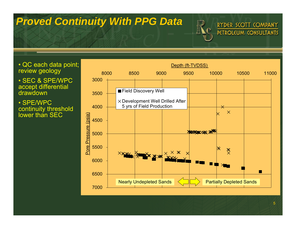#### *Proved Continuity With PPG Data*

• QC each data point; review geology

• SEC & SPE/WPC accept differential drawdown

• SPE/WPC continuity threshold lower than SEC



RYDER SCOTT COMPANY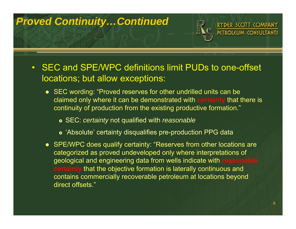#### *Proved Continuity…Continued*



- SEC wording: "Proved reserves for other undrilled units can be claimed only where it can be demonstrated with **certainty** that there is continuity of production from the existing productive formation."
	- } SEC: *certainty* not qualified with *reasonable*
	- } 'Absolute' certainty disqualifies pre-production PPG data
- SPE/WPC does qualify certainty: "Reserves from other locations are categorized as proved undeveloped only where interpretations of geological and engineering data from wells indicate with **reasonable certainty** that the objective formation is laterally continuous and contains commercially recoverable petroleum at locations beyond direct offsets."

RYDER SCOTT COMPANY PETROLEUM CONSULTANTS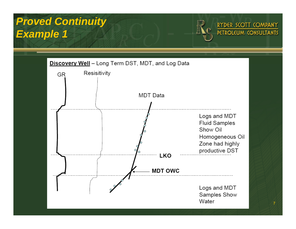# *Proved Continuity Example 1*



7

RYDER SCOTT COMPANY PETROLEUM CONSULTANTS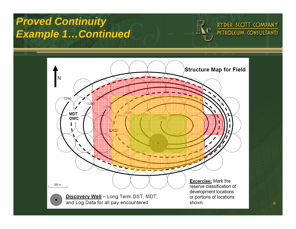#### *Proved Continuity Example 1…Continued*



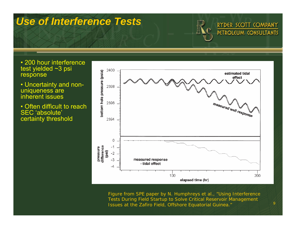#### *Use of Interference Tests*

RYDER SCOTT COMPANY PETROLEUM CONSULTANTS

9

- 200 hour interference test yielded ~3 psi response
- Uncertainty and nonuniqueness are inherent issues
- Often difficult to reach SEC 'absolute' certainty threshold



Figure from SPE paper by N. Humphreys *et al*., "Using Interference Tests During Field Startup to Solve Critical Reservoir Management Issues at the Zafiro Field, Offshore Equatorial Guinea."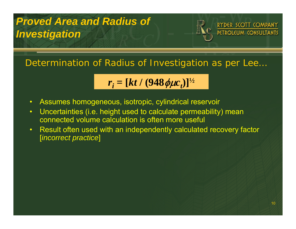# *Proved Area and Radius of Investigation*



Determination of Radius of Investigation as per *Lee* …

$$
r_i = [kt / (948 \phi \mu c_i)]^{\frac{1}{2}}
$$

- $\bullet$ Assumes homogeneous, isotropic, cylindrical reservoir
- $\bullet$  Uncertainties (i.e. height used to calculate permeability) mean connected volume calculation is often more useful
- $\bullet$  Result often used with an independently calculated recovery factor [*incorrect practice*]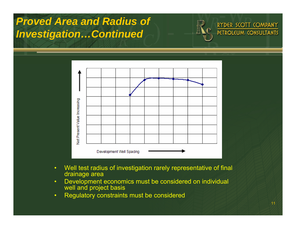## *Proved Area and Radius of Investigation…Continued*





- $\bullet$  Well test radius of investigation rarely representative of final drainage area
- $\bullet$  Development economics must be considered on individual well and project basis
- $\bullet$ Regulatory constraints must be considered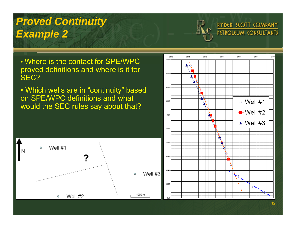# *Proved Continuity Example 2*

• Where is the contact for SPE/WPC proved definitions and where is it for SEC?

• Which wells are in "continuity" based on SPE/WPC definitions and what would the SEC rules say about that?





RYDER SCOTT COMPANY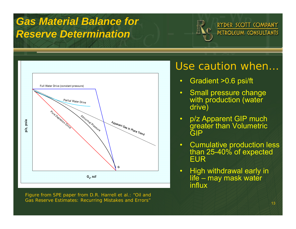## *Gas Material Balance for Reserve Determination*



Figure from SPE paper from D.R. Harrell *et al*.: "Oil and Gas Reserve Estimates: Recurring Mistakes and Errors"

#### Use caution when…

RYDER SCOTT COMPANY PETROLEUM CONSULTANTS

- $\bullet$ Gradient >0.6 psi/ft
- $\bullet$  Small pressure change with production (water drive)
- $\bullet$  p/z Apparent GIP much greater than Volumetric GIP
- • Cumulative production less than 25-40% of expected EUR
- $\bullet$  High withdrawal early in life – may mask water influx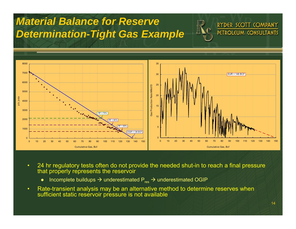

- $\bullet$  24 hr regulatory tests often do not provide the needed shut-in to reach a final pressure that properly represents the reservoir
	- $\bullet$ • Incomplete buildups  $\rightarrow$  underestimated P<sub>res</sub>  $\rightarrow$  underestimated OGIP

*Material Balance for Reserve*

 $\bullet$  Rate-transient analysis may be an alternative method to determine reserves when sufficient static reservoir pressure is not available

RYDER SCOTT COMPANY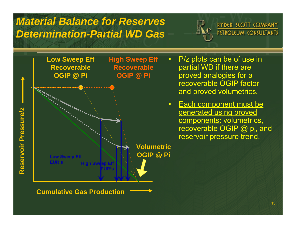#### *Material Balance for ReservesDetermination-Partial WD Gas*

RYDER SCOTT COMPANY PETROLEUM CONSULTANTS



- P/z plots can be of use in partial WD if there are proved analogies for a recoverable OGIP factor and proved volumetrics.
- Each component must be generated using proved components: volumetrics, recoverable OGIP  $@$   $p_i$ , and reservoir pressure trend.

**Cumulative Gas Production**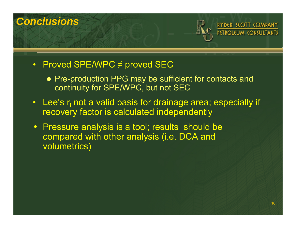

- Proved SPE/WPC ≠ proved SEC
	- Pre-production PPG may be sufficient for contacts and continuity for SPE/WPC, but not SEC
- Lee's  ${\sf r}_{\sf i}$  not a valid basis for drainage area; especially if recovery factor is calculated independently
- Pressure analysis is a tool; results should be compared with other analysis (i.e. DCA and volumetrics)